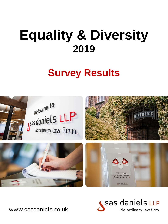## **Survey Results**





www.sasdaniels.co.uk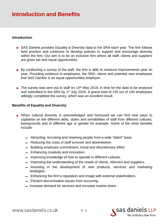## **Introduction and Benefits**

#### **Introduction**

- SAS Daniels provides Equality & Diversity data to the SRA each year. The firm follows best practice and continues to develop policies to support and encourage diversity within the firm. Our aim is to be an inclusive firm where all staff, clients and suppliers are given fair and equal opportunities.
- By conducting a survey of the staff, the firm is able to measure improvements year on year. Providing evidence to employees, the SRA, clients and potential new employees that SAS Daniels is an equal opportunities employer.
- $\bullet$  The survey was sent out to staff on 14<sup>th</sup> May 2019, in time for the data to be analysed and submitted to the SRA by 1<sup>st</sup> July 2019. A grand total of 135 out of 140 employees willingly completed the survey, which was an excellent result.

#### **Benefits of Equality and Diversity**

- When cultural diversity is acknowledged and honoured we can find new ways to capitalise on the different skills, styles and sensibilities of staff from different cultures, backgrounds and of different age or gender for example. Some of the other benefits include:
	- $=$  Attracting, recruiting and retaining people from a wide "talent" base.
	- ▬ Reducing the costs of staff turnover and absenteeism.
	- $-$  Building employee commitment, moral and discretionary effort.
	- $=$  Enhancing creativity and innovation.
	- $=$  Improving knowledge of how to operate in different cultures.
	- $-$  Improving the understanding of the needs of clients, referrers and suppliers.
	- ▬ Assisting in the development of new products, services and marketing strategies.
	- $-$  Enhancing the firm's reputation and image with external stakeholders.
	- $-$  Prevent discrimination issues from occurring.
	- $-$  Increase demand for services and increase market share.

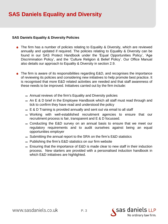## **SAS Daniels Equality and Diversity**

#### **SAS Daniels Equality & Diversity Policies**

- The firm has a number of policies relating to Equality & Diversity, which are reviewed annually and updated if required. The policies relating to Equality & Diversity can be found in our SAS Protect Handbook under the 'Equal Opportunities Policy', 'Age Discrimination Policy', and the 'Culture Religion & Belief Policy'. Our Office Manual also details our approach to Equality & Diversity in section 2.9.
- The firm is aware of its responsibilities regarding E&D, and recognises the importance of reviewing its policies and considering new initiatives to help promote best practice. It is recognised that more E&D related activities are needed and that staff awareness of these needs to be improved. Initiatives carried out by the firm include:
	- $-$  Annual reviews of the firm's Equality and Diversity policies
	- $-$  An E & D brief in the Employee Handbook which all staff must read through and tick to confirm they have read and understood the policy
	- $-$  E & D Training is provided annually and sent out via email to all staff
	- ▬ Working with well-established recruitment agencies to ensure that our recruitment process is fair, transparent and E & D focussed.
	- ▬ Conducting the E&D survey on an annual basis to ensure that we meet our regulatory requirements and to audit ourselves against being an equal opportunities employer
	- $-$  Submitting the annual report to the SRA on the firm's E&D statistics
	- $-$  Publishing the firm's E&D statistics on our firm website
	- $=$  Ensuring that the importance of E&D is made clear to new staff in their induction process. New starters are provided with a personalised induction handbook in which E&D initiatives are highlighted.

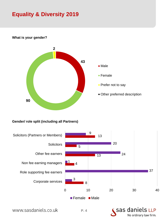

#### **What is your gender?**

#### **Gender/ role split (including all Partners)**



www.sasdaniels.co.uk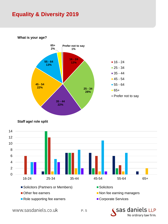

**What is your age?**





www.sasdaniels.co.uk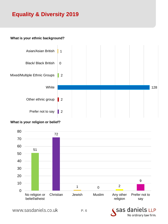#### **What is your ethnic background?**



#### **What is your religion or belief?**



www.sasdaniels.co.uk

sas daniels LLP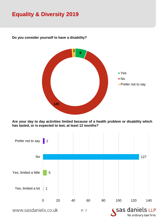

**Do you consider yourself to have a disability?**

**Are your day to day activities limited because of a health problem or disability which has lasted, or is expected to last, at least 12 months?**

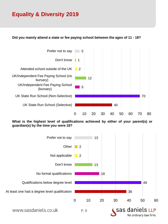#### **Did you mainly attend a state or fee paying school between the ages of 11 - 18?**



**What is the highest level of qualifications achieved by either of your parent(s) or guardian(s) by the time you were 18?**

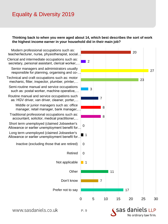#### **Thinking back to when you were aged about 14, which best describes the sort of work the highest income earner in your household did in their main job?**



www.sasdaniels.co.uk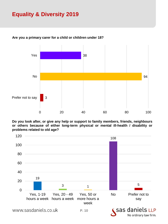

#### **Are you a primary carer for a child or children under 18?**

**Do you look after, or give any help or support to family members, friends, neighbours or others because of either long-term physical or mental ill-health / disability or problems related to old age?**



www.sasdaniels.co.uk